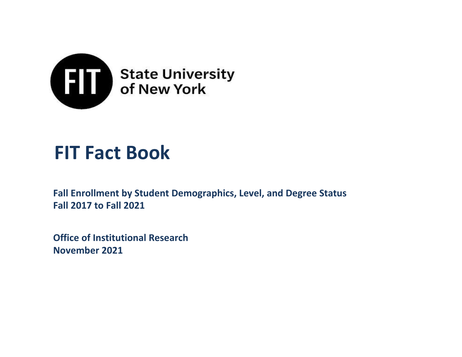

# **FIT Fact Book**

**Fall Enrollment by Student Demographics, Level, and Degree Status Fall 2017 to Fall 2021**

**Office of Institutional Research November 2021**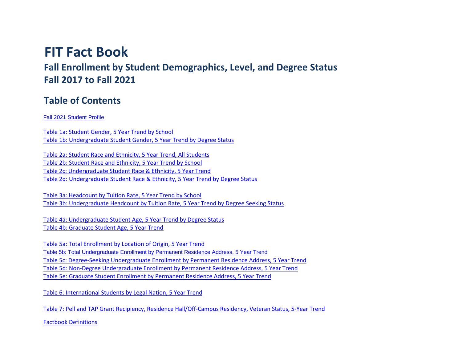# **FIT Fact Book**

**Fall Enrollment by Student Demographics, Level, and Degree Status Fall 2017 to Fall 2021**

### **Table of Contents**

### Fall 2021 Student Profile

Table 1a: Student Gender, 5 Year Trend by School Table 1b: Undergraduate Student Gender, 5 Year Trend by Degree Status

Table 2a: Student Race and Ethnicity, 5 Year Trend, All Students Table 2b: Student Race and Ethnicity, 5 Year Trend by School Table 2c: Undergraduate Student Race & Ethnicity, 5 Year Trend Table 2d: Undergraduate Student Race & Ethnicity, 5 Year Trend by Degree Status

Table 3a: Headcount by Tuition Rate, 5 Year Trend by School Table 3b: Undergraduate Headcount by Tuition Rate, 5 Year Trend by Degree Seeking Status

Table 4a: Undergraduate Student Age, 5 Year Trend by Degree Status Table 4b: Graduate Student Age, 5 Year Trend

Table 5a: Total Enrollment by Location of Origin, 5 Year Trend Table 5b: Total Undergraduate Enrollment by Permanent Residence Address, 5 Year Trend Table 5c: Degree-Seeking Undergraduate Enrollment by Permanent Residence Address, 5 Year Trend Table 5d: Non-Degree Undergraduate Enrollment by Permanent Residence Address, 5 Year Trend Table 5e: Graduate Student Enrollment by Permanent Residence Address, 5 Year Trend

Table 6: International Students by Legal Nation, 5 Year Trend

Table 7: Pell and TAP Grant Recipiency, Residence Hall/Off-Campus Residency, Veteran Status, 5-Year Trend

Factbook Definitions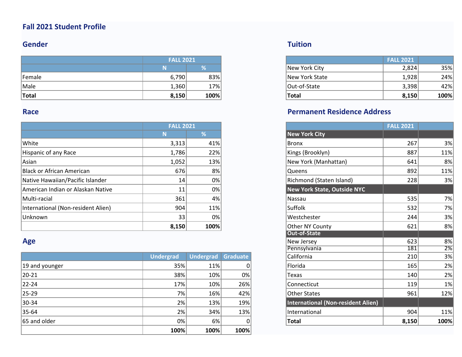### **Fall 2021 Student Profile**

### **Gender**

|        | <b>FALL 2021</b> |      |                | <b>FALL 2021</b><br>2,824<br>1,928<br>3,398 |  |
|--------|------------------|------|----------------|---------------------------------------------|--|
|        |                  |      | New York City  |                                             |  |
| Female | 6,790            | 83%  | New York State |                                             |  |
| Male   | 1,360            | 17%  | Out-of-State   |                                             |  |
| Total  | 8,150            | 100% | Total          | 8,150                                       |  |

### **Race**

|                                    | <b>FALL 2021</b> |      |                             | <b>FALL 2021</b> |
|------------------------------------|------------------|------|-----------------------------|------------------|
|                                    | N                | %    | New York City               |                  |
| White                              | 3,313            | 41%  | Bronx                       | 267              |
| Hispanic of any Race               | 1,786            | 22%  | Kings (Brooklyn)            | 887              |
| Asian                              | 1,052            | 13%  | New York (Manhattan)        | 641              |
| Black or African American          | 676              | 8%   | Queens                      | 892              |
| Native Hawaiian/Pacific Islander   | 14               | 0%   | Richmond (Staten Island)    | 228              |
| American Indian or Alaskan Native  | 11               | 0%   | New York State, Outside NYC |                  |
| Multi-racial                       | 361              | 4%   | Nassau                      | 535              |
| International (Non-resident Alien) | 904              | 11%  | Suffolk                     | 532              |
| Unknown                            | 33               | 0%   | Westchester                 | 244              |
|                                    | 8,150            | 100% | Other NY County             | 621              |

### **Age**

|                | <b>Undergrad</b> | Undergrad Graduate |              | California                         | 210   | 3%   |
|----------------|------------------|--------------------|--------------|------------------------------------|-------|------|
| 19 and younger | 35%              | 11%                |              | Florida                            | 165   | 2%   |
| $ 20-21 $      | 38%              | 10%                | 0%           | Texas                              | 140   | 2%   |
| $ 22 - 24 $    | 17%              | 10%                | 26%          | Connecticut                        | 119   | 1%   |
| $ 25-29 $      | 7%               | 16%                | 42%          | Other States                       | 961   | 12%  |
| $ 30-34 $      | 2%               | 13%                | 19%          | International (Non-resident Alien) |       |      |
| $ 35-64 $      | 2%               | 34%                | 13%          | International                      | 904   | 11%  |
| 65 and older   | 0%               | 6%                 | <sup>n</sup> | <b>Total</b>                       | 8,150 | 100% |
|                | 100%             | 100%               | 100%         |                                    |       |      |
|                |                  |                    |              |                                    |       |      |

### **Tuition**

| <b>FALL 2021</b> |      |                | <b>FALL 2021</b> |
|------------------|------|----------------|------------------|
|                  | %    | New York City  | 2,824            |
| 6,790            | 83%  | New York State | 1,928            |
|                  | 17%  | Out-of-State   | 3,398            |
|                  | 100% | <b>Total</b>   | 8,150            |

### **Permanent Residence Address**

| <b>FALL 2021</b> |                  |                 |                                           | <b>FALL 2021</b> |      |
|------------------|------------------|-----------------|-------------------------------------------|------------------|------|
| N                | %                |                 | <b>New York City</b>                      |                  |      |
| 3,313            | 41%              |                 | <b>Bronx</b>                              | 267              | 3%   |
| 1,786            | 22%              |                 | Kings (Brooklyn)                          | 887              | 11%  |
| 1,052            | 13%              |                 | New York (Manhattan)                      | 641              | 8%   |
| 676              | 8%               |                 | Queens                                    | 892              | 11%  |
| 14               | 0%               |                 | Richmond (Staten Island)                  | 228              | 3%   |
| 11               | 0%               |                 | <b>New York State, Outside NYC</b>        |                  |      |
| 361              | 4%               |                 | Nassau                                    | 535              | 7%   |
| 904              | 11%              |                 | Suffolk                                   | 532              | 7%   |
| 33               | 0%               |                 | Westchester                               | 244              | 3%   |
| 8,150            | 100%             |                 | Other NY County                           | 621              | 8%   |
|                  |                  |                 | <b>Out-of-State</b>                       |                  |      |
|                  |                  |                 | New Jersey                                | 623              | 8%   |
|                  |                  |                 | Pennsylvania                              | 181              | 2%   |
| <b>Undergrad</b> | <b>Undergrad</b> | <b>Graduate</b> | California                                | 210              | 3%   |
| 35%              | 11%              | 0               | Florida                                   | 165              | 2%   |
| 38%              | 10%              | 0%              | Texas                                     | 140              | 2%   |
| 17%              | 10%              | 26%             | Connecticut                               | 119              | 1%   |
| 7%               | 16%              | 42%             | <b>Other States</b>                       | 961              | 12%  |
| 2%               | 13%              | 19%             | <b>International (Non-resident Alien)</b> |                  |      |
| 2%               | 34%              | 13%             | International                             | 904              | 11%  |
| $0\%$            | 6%               | 0               | Total                                     | 8,150            | 100% |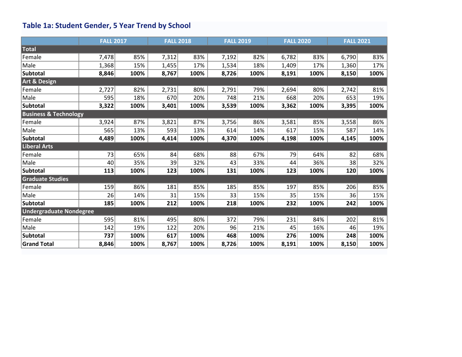# **Table 1a: Student Gender, 5 Year Trend by School**

|                                  | <b>FALL 2017</b> |      | <b>FALL 2018</b> |      | <b>FALL 2019</b><br><b>FALL 2020</b><br><b>FALL 2021</b> |      |       |      |       |      |
|----------------------------------|------------------|------|------------------|------|----------------------------------------------------------|------|-------|------|-------|------|
| Total                            |                  |      |                  |      |                                                          |      |       |      |       |      |
| Female                           | 7,478            | 85%  | 7,312            | 83%  | 7,192                                                    | 82%  | 6,782 | 83%  | 6,790 | 83%  |
| Male                             | 1,368            | 15%  | 1,455            | 17%  | 1,534                                                    | 18%  | 1,409 | 17%  | 1,360 | 17%  |
| <b>Subtotal</b>                  | 8,846            | 100% | 8,767            | 100% | 8,726                                                    | 100% | 8,191 | 100% | 8,150 | 100% |
| Art & Design                     |                  |      |                  |      |                                                          |      |       |      |       |      |
| Female                           | 2,727            | 82%  | 2,731            | 80%  | 2,791                                                    | 79%  | 2,694 | 80%  | 2,742 | 81%  |
| Male                             | 595              | 18%  | 670              | 20%  | 748                                                      | 21%  | 668   | 20%  | 653   | 19%  |
| <b>Subtotal</b>                  | 3,322            | 100% | 3,401            | 100% | 3,539                                                    | 100% | 3,362 | 100% | 3,395 | 100% |
| <b>Business &amp; Technology</b> |                  |      |                  |      |                                                          |      |       |      |       |      |
| Female                           | 3,924            | 87%  | 3,821            | 87%  | 3,756                                                    | 86%  | 3,581 | 85%  | 3,558 | 86%  |
| Male                             | 565              | 13%  | 593              | 13%  | 614                                                      | 14%  | 617   | 15%  | 587   | 14%  |
| <b>Subtotal</b>                  | 4,489            | 100% | 4,414            | 100% | 4,370                                                    | 100% | 4,198 | 100% | 4,145 | 100% |
| <b>Liberal Arts</b>              |                  |      |                  |      |                                                          |      |       |      |       |      |
| Female                           | 73               | 65%  | 84               | 68%  | 88                                                       | 67%  | 79    | 64%  | 82    | 68%  |
| Male                             | 40               | 35%  | 39               | 32%  | 43                                                       | 33%  | 44    | 36%  | 38    | 32%  |
| Subtotal                         | 113              | 100% | 123              | 100% | 131                                                      | 100% | 123   | 100% | 120   | 100% |
| <b>Graduate Studies</b>          |                  |      |                  |      |                                                          |      |       |      |       |      |
| Female                           | 159              | 86%  | 181              | 85%  | 185                                                      | 85%  | 197   | 85%  | 206   | 85%  |
| Male                             | 26               | 14%  | 31               | 15%  | 33                                                       | 15%  | 35    | 15%  | 36    | 15%  |
| <b>Subtotal</b>                  | 185              | 100% | 212              | 100% | 218                                                      | 100% | 232   | 100% | 242   | 100% |
| <b>Undergraduate Nondegree</b>   |                  |      |                  |      |                                                          |      |       |      |       |      |
| Female                           | 595              | 81%  | 495              | 80%  | 372                                                      | 79%  | 231   | 84%  | 202   | 81%  |
| Male                             | 142              | 19%  | 122              | 20%  | 96                                                       | 21%  | 45    | 16%  | 46    | 19%  |
| <b>Subtotal</b>                  | 737              | 100% | 617              | 100% | 468                                                      | 100% | 276   | 100% | 248   | 100% |
| <b>Grand Total</b>               | 8,846            | 100% | 8,767            | 100% | 8,726                                                    | 100% | 8,191 | 100% | 8,150 | 100% |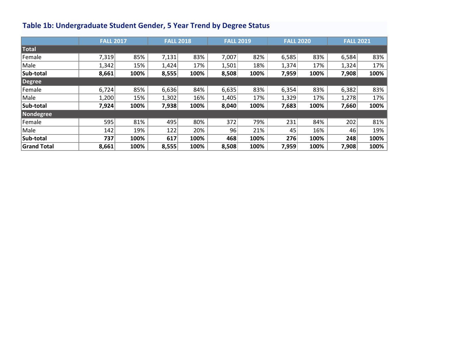# **Table 1b: Undergraduate Student Gender, 5 Year Trend by Degree Status**

|                    |       | <b>FALL 2017</b> |       | <b>FALL 2018</b> |       | <b>FALL 2019</b> |       | <b>FALL 2020</b> |       | <b>FALL 2021</b> |
|--------------------|-------|------------------|-------|------------------|-------|------------------|-------|------------------|-------|------------------|
| <b>Total</b>       |       |                  |       |                  |       |                  |       |                  |       |                  |
| Female             | 7,319 | 85%              | 7,131 | 83%              | 7,007 | 82%              | 6,585 | 83%              | 6,584 | 83%              |
| Male               | 1,342 | 15%              | 1,424 | 17%              | 1,501 | 18%              | 1,374 | 17%              | 1,324 | 17%              |
| Sub-total          | 8,661 | 100%             | 8,555 | 100%             | 8,508 | 100%             | 7,959 | 100%             | 7,908 | 100%             |
| Degree             |       |                  |       |                  |       |                  |       |                  |       |                  |
| Female             | 6,724 | 85%              | 6,636 | 84%              | 6,635 | 83%              | 6,354 | 83%              | 6,382 | 83%              |
| Male               | 1,200 | 15%              | 1,302 | 16%              | 1,405 | 17%              | 1,329 | 17%              | 1,278 | 17%              |
| Sub-total          | 7,924 | 100%             | 7,938 | 100%             | 8,040 | 100%             | 7,683 | 100%             | 7,660 | 100%             |
| Nondegree          |       |                  |       |                  |       |                  |       |                  |       |                  |
| Female             | 595   | 81%              | 495   | 80%              | 372   | 79%              | 231   | 84%              | 202   | 81%              |
| Male               | 142   | 19%              | 122   | 20%              | 96    | 21%              | 45    | 16%              | 46    | 19%              |
| Sub-total          | 737   | 100%             | 617   | 100%             | 468   | 100%             | 276   | 100%             | 248   | 100%             |
| <b>Grand Total</b> | 8,661 | 100%             | 8,555 | 100%             | 8,508 | 100%             | 7,959 | 100%             | 7,908 | 100%             |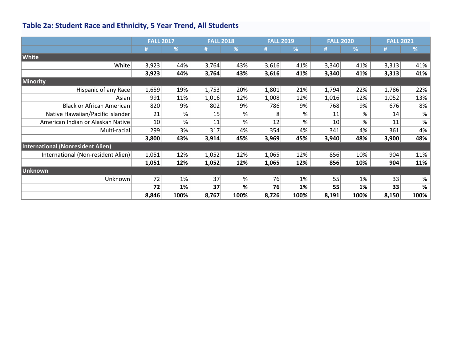# **Table 2a: Student Race and Ethnicity, 5 Year Trend, All Students**

|                                          | <b>FALL 2017</b> |      | <b>FALL 2018</b> |      | <b>FALL 2019</b> |            |       | <b>FALL 2020</b> | <b>FALL 2021</b> |      |
|------------------------------------------|------------------|------|------------------|------|------------------|------------|-------|------------------|------------------|------|
|                                          | #                | %    |                  | %    |                  | $\sqrt{2}$ |       | %                |                  | %    |
| <b>White</b>                             |                  |      |                  |      |                  |            |       |                  |                  |      |
| White                                    | 3,923            | 44%  | 3,764            | 43%  | 3,616            | 41%        | 3,340 | 41%              | 3,313            | 41%  |
|                                          | 3,923            | 44%  | 3,764            | 43%  | 3,616            | 41%        | 3,340 | 41%              | 3,313            | 41%  |
| Minority                                 |                  |      |                  |      |                  |            |       |                  |                  |      |
| Hispanic of any Race                     | 1,659            | 19%  | 1,753            | 20%  | 1,801            | 21%        | 1,794 | 22%              | 1,786            | 22%  |
| Asian                                    | 991              | 11%  | 1,016            | 12%  | 1,008            | 12%        | 1,016 | 12%              | 1,052            | 13%  |
| <b>Black or African American</b>         | 820              | 9%   | 802              | 9%   | 786              | 9%         | 768   | 9%               | 676              | 8%   |
| Native Hawaiian/Pacific Islander         | 21               | %    | 15               | %    | 8                | %          | 11    | %                | 14               | $\%$ |
| American Indian or Alaskan Native        | 10               | $\%$ | 11               | %    | 12               | %          | 10    | %                | 11               | $\%$ |
| Multi-racial                             | 299              | 3%   | 317              | 4%   | 354              | 4%         | 341   | 4%               | 361              | 4%   |
|                                          | 3,800            | 43%  | 3,914            | 45%  | 3,969            | 45%        | 3,940 | 48%              | 3,900            | 48%  |
| <b>International (Nonresident Alien)</b> |                  |      |                  |      |                  |            |       |                  |                  |      |
| International (Non-resident Alien)       | 1,051            | 12%  | 1,052            | 12%  | 1,065            | 12%        | 856   | 10%              | 904              | 11%  |
|                                          | 1,051            | 12%  | 1,052            | 12%  | 1,065            | 12%        | 856   | 10%              | 904              | 11%  |
| Unknown                                  |                  |      |                  |      |                  |            |       |                  |                  |      |
| Unknown                                  | 72               | 1%   | 37               | %    | 76               | 1%         | 55    | 1%               | 33               | $\%$ |
|                                          | 72               | 1%   | 37               | %    | 76               | 1%         | 55    | 1%               | 33               | %    |
|                                          | 8,846            | 100% | 8,767            | 100% | 8,726            | 100%       | 8,191 | 100%             | 8,150            | 100% |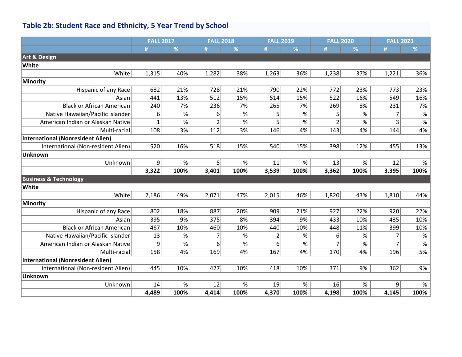# **Table 2b: Student Race and Ethnicity, 5 Year Trend by School**

|                                          | <b>FALL 2017</b> |      | <b>FALL 2018</b> |      | <b>FALL 2019</b> |      | <b>FALL 2020</b>         |               | <b>FALL 2021</b> |                 |
|------------------------------------------|------------------|------|------------------|------|------------------|------|--------------------------|---------------|------------------|-----------------|
|                                          | #                | %    |                  | %    | #                | %    | #                        | %             | #                | %               |
| <b>Art &amp; Design</b>                  |                  |      |                  |      |                  |      |                          |               |                  |                 |
| <b>White</b>                             |                  |      |                  |      |                  |      |                          |               |                  |                 |
| White                                    | 1,315            | 40%  | 1,282            | 38%  | 1,263            | 36%  | 1,238                    | 37%           | 1,221            | 36%             |
| <b>Minority</b>                          |                  |      |                  |      |                  |      |                          |               |                  |                 |
| <b>Hispanic of any Race</b>              | 682              | 21%  | 728              | 21%  | 790              | 22%  | 772                      | 23%           | 773              | 23%             |
| Asian                                    | 441              | 13%  | 512              | 15%  | 514              | 15%  | 522                      | 16%           | 549              | 16%             |
| <b>Black or African American</b>         | 240              | 7%   | 236              | 7%   | 265              | 7%   | 269                      | 8%            | 231              | 7%              |
| Native Hawaiian/Pacific Islander         | 6                | $\%$ | 6                | %    | 5                | $\%$ | 5                        | $\%$          | 7                | $\%$            |
| American Indian or Alaskan Native        | $\mathbf{1}$     | $\%$ | $\overline{2}$   | %    | 5                | %    | $\overline{\mathcal{L}}$ | $\frac{9}{6}$ | 3                | $\overline{\%}$ |
| Multi-racial                             | 108              | 3%   | 112              | 3%   | 146              | 4%   | 143                      | 4%            | 144              | 4%              |
| <b>International (Nonresident Alien)</b> |                  |      |                  |      |                  |      |                          |               |                  |                 |
| International (Non-resident Alien)       | 520              | 16%  | 518              | 15%  | 540              | 15%  | 398                      | 12%           | 455              | 13%             |
| <b>Unknown</b>                           |                  |      |                  |      |                  |      |                          |               |                  |                 |
| Unknown                                  | 9                | %    | 5                | %    | 11               | $\%$ | 13                       | $\%$          | 12               | $\%$            |
|                                          | 3,322            | 100% | 3,401            | 100% | 3,539            | 100% | 3,362                    | 100%          | 3,395            | 100%            |
| <b>Business &amp; Technology</b>         |                  |      |                  |      |                  |      |                          |               |                  |                 |
| <b>White</b>                             |                  |      |                  |      |                  |      |                          |               |                  |                 |
| White                                    | 2,186            | 49%  | 2,071            | 47%  | 2,015            | 46%  | 1,820                    | 43%           | 1,810            | 44%             |
| <b>Minority</b>                          |                  |      |                  |      |                  |      |                          |               |                  |                 |
| Hispanic of any Race                     | 802              | 18%  | 887              | 20%  | 909              | 21%  | 927                      | 22%           | 920              | 22%             |
| Asian                                    | 395              | 9%   | 375              | 8%   | 394              | 9%   | 433                      | 10%           | 435              | 10%             |
| <b>Black or African American</b>         | 467              | 10%  | 460              | 10%  | 440              | 10%  | 448                      | 11%           | 399              | 10%             |
| Native Hawaiian/Pacific Islander         | 13               | %    | 7                | %    | 2                | $\%$ | 6                        | $\%$          | 7                | $\%$            |
| American Indian or Alaskan Native        | 9                | $\%$ | 6                | %    | 6                | $\%$ | 7                        | $\%$          | $\overline{7}$   | $\frac{9}{6}$   |
| Multi-racial                             | 158              | 4%   | 169              | 4%   | 167              | 4%   | 170                      | 4%            | 196              | 5%              |
| <b>International (Nonresident Alien)</b> |                  |      |                  |      |                  |      |                          |               |                  |                 |
| International (Non-resident Alien)       | 445              | 10%  | 427              | 10%  | 418              | 10%  | 371                      | 9%            | 362              | 9%              |
| <b>Unknown</b>                           |                  |      |                  |      |                  |      |                          |               |                  |                 |
| Unknown                                  | 14               | %    | 12               | %    | 19               | $\%$ | 16                       | $\%$          | 9                | $\%$            |
|                                          | 4,489            | 100% | 4,414            | 100% | 4,370            | 100% | 4,198                    | 100%          | 4,145            | 100%            |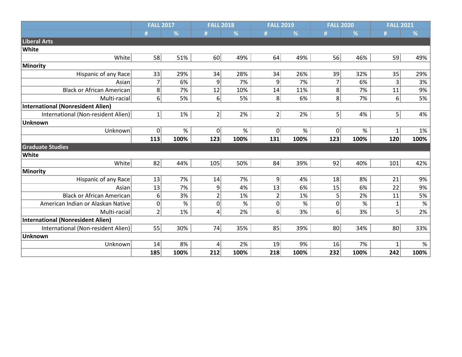|                                          | <b>FALL 2017</b> |      | <b>FALL 2018</b> |      | <b>FALL 2019</b> |      | <b>FALL 2020</b>  |      | <b>FALL 2021</b> |      |
|------------------------------------------|------------------|------|------------------|------|------------------|------|-------------------|------|------------------|------|
|                                          |                  | %    |                  | %    | #                | %    |                   | %    | #                | %    |
| Liberal Arts                             |                  |      |                  |      |                  |      |                   |      |                  |      |
| White                                    |                  |      |                  |      |                  |      |                   |      |                  |      |
| White                                    | 58               | 51%  | 60               | 49%  | 64               | 49%  | 56                | 46%  | 59               | 49%  |
| <b>Minority</b>                          |                  |      |                  |      |                  |      |                   |      |                  |      |
| Hispanic of any Race                     | 33               | 29%  | 34               | 28%  | 34               | 26%  | 39                | 32%  | 35               | 29%  |
| Asian                                    | 7                | 6%   | 9                | 7%   | 9                | 7%   | 7                 | 6%   | 3                | 3%   |
| <b>Black or African American</b>         | 8                | 7%   | 12               | 10%  | 14               | 11%  | 8                 | 7%   | 11               | 9%   |
| Multi-racial                             | 6                | 5%   | 6 <sup>1</sup>   | 5%   | 8 <sup>1</sup>   | 6%   | $\lvert 8 \rvert$ | 7%   | $6 \overline{6}$ | 5%   |
| <b>International (Nonresident Alien)</b> |                  |      |                  |      |                  |      |                   |      |                  |      |
| International (Non-resident Alien)       | $\mathbf{1}$     | 1%   | $2\vert$         | 2%   | $\overline{2}$   | 2%   | 5 <sup>1</sup>    | 4%   | 5                | 4%   |
| <b>Unknown</b>                           |                  |      |                  |      |                  |      |                   |      |                  |      |
| Unknown                                  | 0                | $\%$ | 0                | $\%$ | 0                | %    | 0                 | $\%$ |                  | 1%   |
|                                          | 113              | 100% | 123              | 100% | 131              | 100% | 123               | 100% | 120              | 100% |
| <b>Graduate Studies</b>                  |                  |      |                  |      |                  |      |                   |      |                  |      |
| White                                    |                  |      |                  |      |                  |      |                   |      |                  |      |
| White                                    | 82               | 44%  | 105              | 50%  | 84               | 39%  | 92                | 40%  | 101              | 42%  |
| <b>Minority</b>                          |                  |      |                  |      |                  |      |                   |      |                  |      |
| Hispanic of any Race                     | 13               | 7%   | 14               | 7%   | 9                | 4%   | 18                | 8%   | 21               | 9%   |
| Asian                                    | 13               | 7%   | 9                | 4%   | 13               | 6%   | 15                | 6%   | 22               | 9%   |
| <b>Black or African American</b>         | 6                | 3%   | $\overline{2}$   | 1%   | $\overline{2}$   | 1%   | 5                 | 2%   | 11               | 5%   |
| American Indian or Alaskan Native        | 0                | %    | $\overline{0}$   | %    | 0                | %    | $\overline{0}$    | %    | $\mathbf{1}$     | $\%$ |
| Multi-racial                             | $\overline{2}$   | 1%   | 4                | 2%   | $6 \mid$         | 3%   | 6                 | 3%   | 5                | 2%   |
| <b>International (Nonresident Alien)</b> |                  |      |                  |      |                  |      |                   |      |                  |      |
| International (Non-resident Alien)       | 55               | 30%  | 74               | 35%  | 85               | 39%  | 80                | 34%  | 80               | 33%  |
| <b>Unknown</b>                           |                  |      |                  |      |                  |      |                   |      |                  |      |
| Unknown                                  | 14               | 8%   | 4                | 2%   | 19               | 9%   | 16                | 7%   |                  | $\%$ |
|                                          | 185              | 100% | 212              | 100% | 218              | 100% | 232               | 100% | 242              | 100% |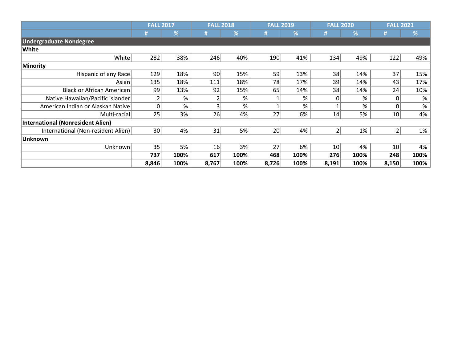|                                    | <b>FALL 2017</b> |      | <b>FALL 2018</b> |      | <b>FALL 2019</b> |      | <b>FALL 2020</b> |      | <b>FALL 2021</b> |      |
|------------------------------------|------------------|------|------------------|------|------------------|------|------------------|------|------------------|------|
|                                    | #                | %    |                  | %    |                  | %    | #                | %    | #                | %    |
| <b>Undergraduate Nondegree</b>     |                  |      |                  |      |                  |      |                  |      |                  |      |
| White                              |                  |      |                  |      |                  |      |                  |      |                  |      |
| White                              | 282              | 38%  | 246              | 40%  | 190              | 41%  | 134              | 49%  | 122              | 49%  |
| Minority                           |                  |      |                  |      |                  |      |                  |      |                  |      |
| Hispanic of any Race               | 129              | 18%  | 90               | 15%  | 59               | 13%  | 38               | 14%  | 37               | 15%  |
| Asian                              | 135              | 18%  | 111              | 18%  | 78               | 17%  | 39               | 14%  | 43               | 17%  |
| <b>Black or African American</b>   | 99               | 13%  | 92               | 15%  | 65               | 14%  | 38               | 14%  | 24               | 10%  |
| Native Hawaiian/Pacific Islander   |                  | %    |                  | %    |                  | %    | 01               | %    |                  | $\%$ |
| American Indian or Alaskan Native  | 0                | %    | 3 <sup>1</sup>   | %    |                  | %    |                  | %    | $\Omega$         | %    |
| Multi-racial                       | 25               | 3%   | 26               | 4%   | 27               | 6%   | 14               | 5%   | 10               | 4%   |
| International (Nonresident Alien)  |                  |      |                  |      |                  |      |                  |      |                  |      |
| International (Non-resident Alien) | 30 <sup>2</sup>  | 4%   | 31               | 5%   | 20 <sup>2</sup>  | 4%   | 21               | 1%   |                  | 1%   |
| <b>Unknown</b>                     |                  |      |                  |      |                  |      |                  |      |                  |      |
| Unknown                            | 35               | 5%   | 16               | 3%   | 27               | 6%   | 10 <sup>1</sup>  | 4%   | 10               | 4%   |
|                                    | 737              | 100% | 617              | 100% | 468              | 100% | 276              | 100% | 248              | 100% |
|                                    | 8,846            | 100% | 8,767            | 100% | 8,726            | 100% | 8,191            | 100% | 8,150            | 100% |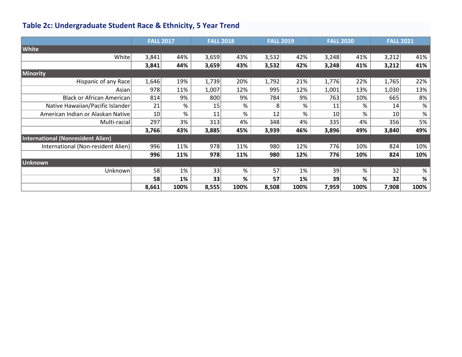# **Table 2c: Undergraduate Student Race & Ethnicity, 5 Year Trend**

|                                          |       | <b>FALL 2017</b> |       | <b>FALL 2018</b> | <b>FALL 2019</b> | <b>FALL 2020</b> |       |      | <b>FALL 2021</b> |      |
|------------------------------------------|-------|------------------|-------|------------------|------------------|------------------|-------|------|------------------|------|
| <b>White</b>                             |       |                  |       |                  |                  |                  |       |      |                  |      |
| White                                    | 3,841 | 44%              | 3,659 | 43%              | 3,532            | 42%              | 3,248 | 41%  | 3,212            | 41%  |
|                                          | 3,841 | 44%              | 3,659 | 43%              | 3,532            | 42%              | 3,248 | 41%  | 3,212            | 41%  |
| Minority                                 |       |                  |       |                  |                  |                  |       |      |                  |      |
| Hispanic of any Race                     | 1,646 | 19%              | 1,739 | 20%              | 1,792            | 21%              | 1,776 | 22%  | 1,765            | 22%  |
| Asian                                    | 978   | 11%              | 1,007 | 12%              | 995              | 12%              | 1,001 | 13%  | 1,030            | 13%  |
| Black or African American                | 814   | 9%               | 800   | 9%               | 784              | 9%               | 763   | 10%  | 665              | 8%   |
| Native Hawaiian/Pacific Islander         | 21    | %                | 15    | %                | 8                | %                | 11    | %    | 14               | $\%$ |
| American Indian or Alaskan Native        | 10    | %                | 11    | %                | 12               | $\%$             | 10    | %    | 10               | $\%$ |
| Multi-racial                             | 297   | 3%               | 313   | 4%               | 348              | 4%               | 335   | 4%   | 356              | 5%   |
|                                          | 3,766 | 43%              | 3,885 | 45%              | 3,939            | 46%              | 3,896 | 49%  | 3,840            | 49%  |
| <b>International (Nonresident Alien)</b> |       |                  |       |                  |                  |                  |       |      |                  |      |
| International (Non-resident Alien)       | 996   | 11%              | 978   | 11%              | 980              | 12%              | 776   | 10%  | 824              | 10%  |
|                                          | 996   | 11%              | 978   | 11%              | 980              | 12%              | 776   | 10%  | 824              | 10%  |
| <b>Unknown</b>                           |       |                  |       |                  |                  |                  |       |      |                  |      |
| Unknown                                  | 58    | 1%               | 33    | %                | 57               | 1%               | 39    | %    | 32               | $\%$ |
|                                          | 58    | 1%               | 33    | %                | 57               | 1%               | 39    | %    | 32               | $\%$ |
|                                          | 8,661 | 100%             | 8,555 | 100%             | 8,508            | 100%             | 7,959 | 100% | 7,908            | 100% |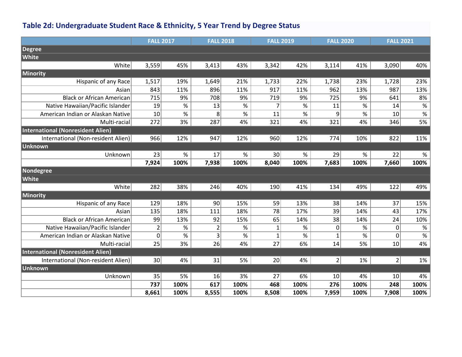### **Table 2d: Undergraduate Student Race & Ethnicity, 5 Year Trend by Degree Status**

|                                    | <b>FALL 2017</b>        |      | <b>FALL 2018</b> |      | <b>FALL 2019</b> |      | <b>FALL 2020</b> |      | <b>FALL 2021</b> |                                                                    |
|------------------------------------|-------------------------|------|------------------|------|------------------|------|------------------|------|------------------|--------------------------------------------------------------------|
| <b>Degree</b>                      |                         |      |                  |      |                  |      |                  |      |                  |                                                                    |
| White                              |                         |      |                  |      |                  |      |                  |      |                  |                                                                    |
| White                              | 3,559                   | 45%  | 3,413            | 43%  | 3,342            | 42%  | 3,114            | 41%  | 3,090            | 40%                                                                |
| Minority                           |                         |      |                  |      |                  |      |                  |      |                  |                                                                    |
| Hispanic of any Race               | 1,517                   | 19%  | 1,649            | 21%  | 1,733            | 22%  | 1,738            | 23%  | 1,728            | 23%                                                                |
| Asian                              | 843                     | 11%  | 896              | 11%  | 917              | 11%  | 962              | 13%  | 987              | 13%                                                                |
| <b>Black or African American</b>   | 715                     | 9%   | 708              | 9%   | 719              | 9%   | 725              | 9%   | 641              | 8%                                                                 |
| Native Hawaiian/Pacific Islander   | 19                      | $\%$ | 13               | $\%$ |                  | $\%$ | 11               | $\%$ | 14               | $\%$                                                               |
| American Indian or Alaskan Native  | 10                      | $\%$ | 8                | $\%$ | 11               | $\%$ | 9                | $\%$ | 10               | $\frac{9}{6}$                                                      |
| Multi-racial                       | 272                     | 3%   | 287              | 4%   | 321              | 4%   | 321              | 4%   | 346              | 5%                                                                 |
| International (Nonresident Alien)  |                         |      |                  |      |                  |      |                  |      |                  |                                                                    |
| International (Non-resident Alien) | 966                     | 12%  | 947              | 12%  | 960              | 12%  | 774              | 10%  | 822              | 11%                                                                |
| Unknown                            |                         |      |                  |      |                  |      |                  |      |                  |                                                                    |
| Unknown                            | 23                      | %    | 17               | $\%$ | 30               | $\%$ | 29               | $\%$ | 22               | $\%$                                                               |
|                                    | 7,924                   | 100% | 7,938            | 100% | 8,040            | 100% | 7,683            | 100% | 7,660            | 100%                                                               |
| Nondegree                          |                         |      |                  |      |                  |      |                  |      |                  |                                                                    |
| White                              |                         |      |                  |      |                  |      |                  |      |                  |                                                                    |
| White                              | 282                     | 38%  | 246              | 40%  | 190              | 41%  | 134              | 49%  | 122              | 49%                                                                |
| Minority                           |                         |      |                  |      |                  |      |                  |      |                  |                                                                    |
| Hispanic of any Race               | 129                     | 18%  | 90               | 15%  | 59               | 13%  | 38               | 14%  | 37               | 15%                                                                |
| Asian                              | 135                     | 18%  | 111              | 18%  | 78               | 17%  | 39               | 14%  | 43               | 17%                                                                |
| Black or African American          | 99                      | 13%  | 92               | 15%  | 65               | 14%  | 38               | 14%  | 24               | 10%                                                                |
| Native Hawaiian/Pacific Islander   | $\overline{\mathbf{c}}$ | $\%$ | $\overline{2}$   | %    |                  | $\%$ | $\mathbf 0$      | %    | 0                | $\%$                                                               |
| American Indian or Alaskan Native  | 0                       | %    | 3                | $\%$ | 1                | $\%$ | $\mathbf{1}$     | $\%$ | 0                | $% \mathcal{B}_{\mathrm{H}}\left( \mathcal{B}_{\mathrm{H}}\right)$ |
| Multi-racial                       | 25                      | 3%   | 26               | 4%   | 27               | 6%   | 14               | 5%   | 10               | 4%                                                                 |
| International (Nonresident Alien)  |                         |      |                  |      |                  |      |                  |      |                  |                                                                    |
| International (Non-resident Alien) | 30 <sup>°</sup>         | 4%   | 31               | 5%   | 20 <sup>2</sup>  | 4%   | 2 <sup>1</sup>   | 1%   | $\overline{2}$   | 1%                                                                 |
| Unknown                            |                         |      |                  |      |                  |      |                  |      |                  |                                                                    |
| Unknown                            | 35                      | 5%   | 16               | 3%   | 27               | 6%   | 10               | 4%   | 10 <sup>1</sup>  | 4%                                                                 |
|                                    | 737                     | 100% | 617              | 100% | 468              | 100% | 276              | 100% | 248              | 100%                                                               |
|                                    | 8,661                   | 100% | 8,555            | 100% | 8,508            | 100% | 7,959            | 100% | 7,908            | 100%                                                               |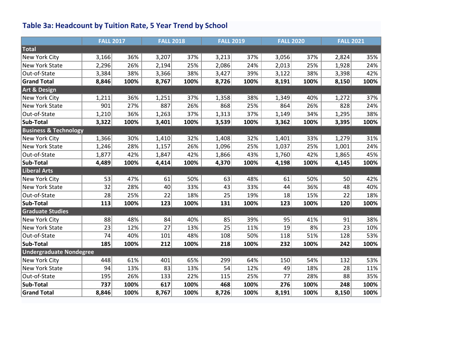# **Table 3a: Headcount by Tuition Rate, 5 Year Trend by School**

|                                  | <b>FALL 2017</b> |      | <b>FALL 2018</b> |      | <b>FALL 2019</b> |      | <b>FALL 2020</b> |      | <b>FALL 2021</b> |      |
|----------------------------------|------------------|------|------------------|------|------------------|------|------------------|------|------------------|------|
| Total                            |                  |      |                  |      |                  |      |                  |      |                  |      |
| New York City                    | 3,166            | 36%  | 3,207            | 37%  | 3,213            | 37%  | 3,056            | 37%  | 2,824            | 35%  |
| New York State                   | 2,296            | 26%  | 2,194            | 25%  | 2,086            | 24%  | 2,013            | 25%  | 1,928            | 24%  |
| Out-of-State                     | 3,384            | 38%  | 3,366            | 38%  | 3,427            | 39%  | 3,122            | 38%  | 3,398            | 42%  |
| <b>Grand Total</b>               | 8,846            | 100% | 8,767            | 100% | 8,726            | 100% | 8,191            | 100% | 8,150            | 100% |
| <b>Art &amp; Design</b>          |                  |      |                  |      |                  |      |                  |      |                  |      |
| <b>New York City</b>             | 1,211            | 36%  | 1,251            | 37%  | 1,358            | 38%  | 1,349            | 40%  | 1,272            | 37%  |
| <b>New York State</b>            | 901              | 27%  | 887              | 26%  | 868              | 25%  | 864              | 26%  | 828              | 24%  |
| Out-of-State                     | 1,210            | 36%  | 1,263            | 37%  | 1,313            | 37%  | 1,149            | 34%  | 1,295            | 38%  |
| <b>Sub-Total</b>                 | 3,322            | 100% | 3,401            | 100% | 3,539            | 100% | 3,362            | 100% | 3,395            | 100% |
| <b>Business &amp; Technology</b> |                  |      |                  |      |                  |      |                  |      |                  |      |
| New York City                    | 1,366            | 30%  | 1,410            | 32%  | 1,408            | 32%  | 1,401            | 33%  | 1,279            | 31%  |
| <b>New York State</b>            | 1,246            | 28%  | 1,157            | 26%  | 1,096            | 25%  | 1,037            | 25%  | 1,001            | 24%  |
| Out-of-State                     | 1,877            | 42%  | 1,847            | 42%  | 1,866            | 43%  | 1,760            | 42%  | 1,865            | 45%  |
| Sub-Total                        | 4,489            | 100% | 4,414            | 100% | 4,370            | 100% | 4,198            | 100% | 4,145            | 100% |
| <b>Liberal Arts</b>              |                  |      |                  |      |                  |      |                  |      |                  |      |
| New York City                    | 53               | 47%  | 61               | 50%  | 63               | 48%  | 61               | 50%  | 50               | 42%  |
| New York State                   | 32               | 28%  | 40               | 33%  | 43               | 33%  | 44               | 36%  | 48               | 40%  |
| Out-of-State                     | 28               | 25%  | 22               | 18%  | 25               | 19%  | 18               | 15%  | 22               | 18%  |
| Sub-Total                        | 113              | 100% | 123              | 100% | 131              | 100% | 123              | 100% | 120              | 100% |
| <b>Graduate Studies</b>          |                  |      |                  |      |                  |      |                  |      |                  |      |
| New York City                    | 88               | 48%  | 84               | 40%  | 85               | 39%  | 95               | 41%  | 91               | 38%  |
| <b>New York State</b>            | 23               | 12%  | 27               | 13%  | 25               | 11%  | 19               | 8%   | 23               | 10%  |
| Out-of-State                     | 74               | 40%  | 101              | 48%  | 108              | 50%  | 118              | 51%  | 128              | 53%  |
| Sub-Total                        | 185              | 100% | 212              | 100% | 218              | 100% | 232              | 100% | 242              | 100% |
| <b>Undergraduate Nondegree</b>   |                  |      |                  |      |                  |      |                  |      |                  |      |
| New York City                    | 448              | 61%  | 401              | 65%  | 299              | 64%  | 150              | 54%  | 132              | 53%  |
| <b>New York State</b>            | 94               | 13%  | 83               | 13%  | 54               | 12%  | 49               | 18%  | 28               | 11%  |
| Out-of-State                     | 195              | 26%  | 133              | 22%  | 115              | 25%  | 77               | 28%  | 88               | 35%  |
| Sub-Total                        | 737              | 100% | 617              | 100% | 468              | 100% | 276              | 100% | 248              | 100% |
| <b>Grand Total</b>               | 8,846            | 100% | 8,767            | 100% | 8,726            | 100% | 8,191            | 100% | 8,150            | 100% |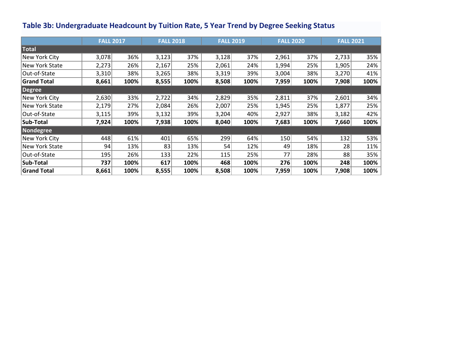### **Table 3b: Undergraduate Headcount by Tuition Rate, 5 Year Trend by Degree Seeking Status**

|                    | <b>FALL 2017</b> |      | <b>FALL 2018</b> |      | <b>FALL 2019</b> |      | <b>FALL 2020</b> |      | <b>FALL 2021</b> |      |
|--------------------|------------------|------|------------------|------|------------------|------|------------------|------|------------------|------|
| <b>Total</b>       |                  |      |                  |      |                  |      |                  |      |                  |      |
| New York City      | 3,078            | 36%  | 3,123            | 37%  | 3,128            | 37%  | 2,961            | 37%  | 2,733            | 35%  |
| New York State     | 2,273            | 26%  | 2,167            | 25%  | 2,061            | 24%  | 1,994            | 25%  | 1,905            | 24%  |
| Out-of-State       | 3,310            | 38%  | 3,265            | 38%  | 3,319            | 39%  | 3,004            | 38%  | 3,270            | 41%  |
| <b>Grand Total</b> | 8,661            | 100% | 8,555            | 100% | 8,508            | 100% | 7,959            | 100% | 7,908            | 100% |
| Degree             |                  |      |                  |      |                  |      |                  |      |                  |      |
| New York City      | 2,630            | 33%  | 2,722            | 34%  | 2,829            | 35%  | 2,811            | 37%  | 2,601            | 34%  |
| New York State     | 2,179            | 27%  | 2,084            | 26%  | 2,007            | 25%  | 1,945            | 25%  | 1,877            | 25%  |
| Out-of-State       | 3,115            | 39%  | 3,132            | 39%  | 3,204            | 40%  | 2,927            | 38%  | 3,182            | 42%  |
| Sub-Total          | 7,924            | 100% | 7,938            | 100% | 8,040            | 100% | 7,683            | 100% | 7,660            | 100% |
| Nondegree          |                  |      |                  |      |                  |      |                  |      |                  |      |
| New York City      | 448              | 61%  | 401              | 65%  | 299              | 64%  | 150              | 54%  | 132              | 53%  |
| New York State     | 94               | 13%  | 83               | 13%  | 54               | 12%  | 49               | 18%  | 28               | 11%  |
| Out-of-State       | 195              | 26%  | 133              | 22%  | 115              | 25%  | 77               | 28%  | 88               | 35%  |
| Sub-Total          | 737              | 100% | 617              | 100% | 468              | 100% | 276              | 100% | 248              | 100% |
| <b>Grand Total</b> | 8,661            | 100% | 8,555            | 100% | 8,508            | 100% | 7,959            | 100% | 7,908            | 100% |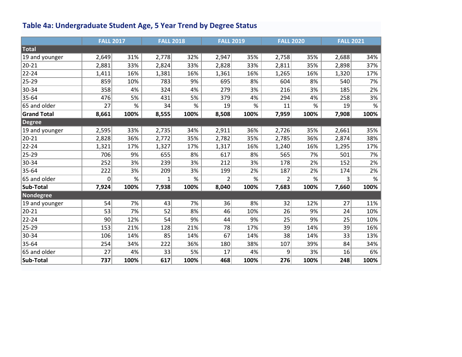# **Table 4a: Undergraduate Student Age, 5 Year Trend by Degree Status**

|                    | <b>FALL 2017</b> |      | <b>FALL 2018</b> |      | <b>FALL 2019</b> |      | <b>FALL 2020</b> |      | <b>FALL 2021</b> |      |
|--------------------|------------------|------|------------------|------|------------------|------|------------------|------|------------------|------|
| Total              |                  |      |                  |      |                  |      |                  |      |                  |      |
| 19 and younger     | 2,649            | 31%  | 2,778            | 32%  | 2,947            | 35%  | 2,758            | 35%  | 2,688            | 34%  |
| $20 - 21$          | 2,881            | 33%  | 2,824            | 33%  | 2,828            | 33%  | 2,811            | 35%  | 2,898            | 37%  |
| $22 - 24$          | 1,411            | 16%  | 1,381            | 16%  | 1,361            | 16%  | 1,265            | 16%  | 1,320            | 17%  |
| 25-29              | 859              | 10%  | 783              | 9%   | 695              | 8%   | 604              | 8%   | 540              | 7%   |
| 30-34              | 358              | 4%   | 324              | 4%   | 279              | 3%   | 216              | 3%   | 185              | 2%   |
| 35-64              | 476              | 5%   | 431              | 5%   | 379              | 4%   | 294              | 4%   | 258              | 3%   |
| 65 and older       | 27               | $\%$ | 34               | $\%$ | 19               | %    | 11               | $\%$ | 19               | $\%$ |
| <b>Grand Total</b> | 8,661            | 100% | 8,555            | 100% | 8,508            | 100% | 7,959            | 100% | 7,908            | 100% |
| <b>Degree</b>      |                  |      |                  |      |                  |      |                  |      |                  |      |
| 19 and younger     | 2,595            | 33%  | 2,735            | 34%  | 2,911            | 36%  | 2,726            | 35%  | 2,661            | 35%  |
| $20 - 21$          | 2,828            | 36%  | 2,772            | 35%  | 2,782            | 35%  | 2,785            | 36%  | 2,874            | 38%  |
| $22 - 24$          | 1,321            | 17%  | 1,327            | 17%  | 1,317            | 16%  | 1,240            | 16%  | 1,295            | 17%  |
| 25-29              | 706              | 9%   | 655              | 8%   | 617              | 8%   | 565              | 7%   | 501              | 7%   |
| 30-34              | 252              | 3%   | 239              | 3%   | 212              | 3%   | 178              | 2%   | 152              | 2%   |
| 35-64              | 222              | 3%   | 209              | 3%   | 199              | 2%   | 187              | 2%   | 174              | 2%   |
| 65 and older       | $\mathbf 0$      | $\%$ |                  | $\%$ | 2                | $\%$ | $\overline{2}$   | $\%$ | 3                | $\%$ |
| Sub-Total          | 7,924            | 100% | 7,938            | 100% | 8,040            | 100% | 7,683            | 100% | 7,660            | 100% |
| Nondegree          |                  |      |                  |      |                  |      |                  |      |                  |      |
| 19 and younger     | 54               | 7%   | 43               | 7%   | 36               | 8%   | 32               | 12%  | 27               | 11%  |
| $20 - 21$          | 53               | 7%   | 52               | 8%   | 46               | 10%  | 26               | 9%   | 24               | 10%  |
| $22 - 24$          | 90               | 12%  | 54               | 9%   | 44               | 9%   | 25               | 9%   | 25               | 10%  |
| 25-29              | 153              | 21%  | 128              | 21%  | 78               | 17%  | 39               | 14%  | 39               | 16%  |
| 30-34              | 106              | 14%  | 85               | 14%  | 67               | 14%  | 38               | 14%  | 33               | 13%  |
| 35-64              | 254              | 34%  | 222              | 36%  | 180              | 38%  | 107              | 39%  | 84               | 34%  |
| 65 and older       | 27               | 4%   | 33               | 5%   | 17               | 4%   | 9                | 3%   | 16               | 6%   |
| Sub-Total          | 737              | 100% | 617              | 100% | 468              | 100% | 276              | 100% | 248              | 100% |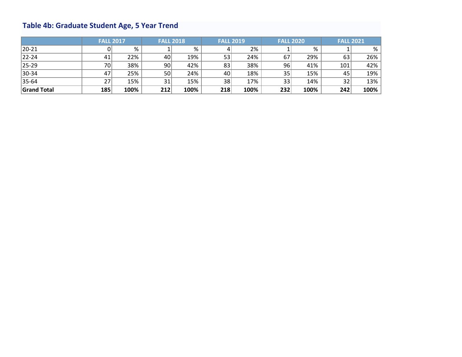# **Table 4b: Graduate Student Age, 5 Year Trend**

|                    | <b>FALL 2017</b> |      | <b>FALL 2018</b> |      | <b>FALL 2019</b> |      | <b>FALL 2020</b> |      | <b>FALL 2021</b> |      |
|--------------------|------------------|------|------------------|------|------------------|------|------------------|------|------------------|------|
| $ 20-21 $          |                  | %    |                  | %    |                  | 2%   |                  | %    |                  | %    |
| $ 22 - 24 $        | 41               | 22%  | 40               | 19%  | 53               | 24%  | 67               | 29%  | 63               | 26%  |
| $ 25-29 $          | 70               | 38%  | 90               | 42%  | 83               | 38%  | 96               | 41%  | 101              | 42%  |
| 30-34              | 47               | 25%  | 50               | 24%  | 40               | 18%  | 35               | 15%  | 45               | 19%  |
| 35-64              | 27               | 15%  | 31               | 15%  | 38               | 17%  | 33               | 14%  | 32               | 13%  |
| <b>Grand Total</b> | 185              | 100% | 212              | 100% | 218              | 100% | 232              | 100% | 242              | 100% |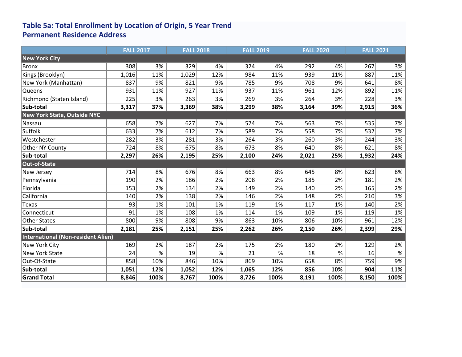### **Table 5a: Total Enrollment by Location of Origin, 5 Year Trend Permanent Residence Address**

|                                           | <b>FALL 2017</b> |      | <b>FALL 2018</b> |      | <b>FALL 2019</b> |      | <b>FALL 2020</b> |      | <b>FALL 2021</b> |      |
|-------------------------------------------|------------------|------|------------------|------|------------------|------|------------------|------|------------------|------|
| New York City                             |                  |      |                  |      |                  |      |                  |      |                  |      |
| <b>Bronx</b>                              | 308              | 3%   | 329              | 4%   | 324              | 4%   | 292              | 4%   | 267              | 3%   |
| Kings (Brooklyn)                          | 1,016            | 11%  | 1,029            | 12%  | 984              | 11%  | 939              | 11%  | 887              | 11%  |
| New York (Manhattan)                      | 837              | 9%   | 821              | 9%   | 785              | 9%   | 708              | 9%   | 641              | 8%   |
| Queens                                    | 931              | 11%  | 927              | 11%  | 937              | 11%  | 961              | 12%  | 892              | 11%  |
| Richmond (Staten Island)                  | 225              | 3%   | 263              | 3%   | 269              | 3%   | 264              | 3%   | 228              | 3%   |
| Sub-total                                 | 3,317            | 37%  | 3,369            | 38%  | 3,299            | 38%  | 3,164            | 39%  | 2,915            | 36%  |
| <b>New York State, Outside NYC</b>        |                  |      |                  |      |                  |      |                  |      |                  |      |
| Nassau                                    | 658              | 7%   | 627              | 7%   | 574              | 7%   | 563              | 7%   | 535              | 7%   |
| Suffolk                                   | 633              | 7%   | 612              | 7%   | 589              | 7%   | 558              | 7%   | 532              | 7%   |
| Westchester                               | 282              | 3%   | 281              | 3%   | 264              | 3%   | 260              | 3%   | 244              | 3%   |
| Other NY County                           | 724              | 8%   | 675              | 8%   | 673              | 8%   | 640              | 8%   | 621              | 8%   |
| Sub-total                                 | 2,297            | 26%  | 2,195            | 25%  | 2,100            | 24%  | 2,021            | 25%  | 1,932            | 24%  |
| Out-of-State                              |                  |      |                  |      |                  |      |                  |      |                  |      |
| <b>New Jersey</b>                         | 714              | 8%   | 676              | 8%   | 663              | 8%   | 645              | 8%   | 623              | 8%   |
| Pennsylvania                              | 190              | 2%   | 186              | 2%   | 208              | 2%   | 185              | 2%   | 181              | 2%   |
| Florida                                   | 153              | 2%   | 134              | 2%   | 149              | 2%   | 140              | 2%   | 165              | 2%   |
| California                                | 140              | 2%   | 138              | 2%   | 146              | 2%   | 148              | 2%   | 210              | 3%   |
| Texas                                     | 93               | 1%   | 101              | 1%   | 119              | 1%   | 117              | 1%   | 140              | 2%   |
| Connecticut                               | 91               | 1%   | 108              | 1%   | 114              | 1%   | 109              | 1%   | 119              | 1%   |
| <b>Other States</b>                       | 800              | 9%   | 808              | 9%   | 863              | 10%  | 806              | 10%  | 961              | 12%  |
| Sub-total                                 | 2,181            | 25%  | 2,151            | 25%  | 2,262            | 26%  | 2,150            | 26%  | 2,399            | 29%  |
| <b>International (Non-resident Alien)</b> |                  |      |                  |      |                  |      |                  |      |                  |      |
| New York City                             | 169              | 2%   | 187              | 2%   | 175              | 2%   | 180              | 2%   | 129              | 2%   |
| <b>New York State</b>                     | 24               | $\%$ | 19               | $\%$ | 21               | $\%$ | 18               | $\%$ | 16               | $\%$ |
| Out-Of-State                              | 858              | 10%  | 846              | 10%  | 869              | 10%  | 658              | 8%   | 759              | 9%   |
| Sub-total                                 | 1,051            | 12%  | 1,052            | 12%  | 1,065            | 12%  | 856              | 10%  | 904              | 11%  |
| <b>Grand Total</b>                        | 8,846            | 100% | 8,767            | 100% | 8,726            | 100% | 8,191            | 100% | 8,150            | 100% |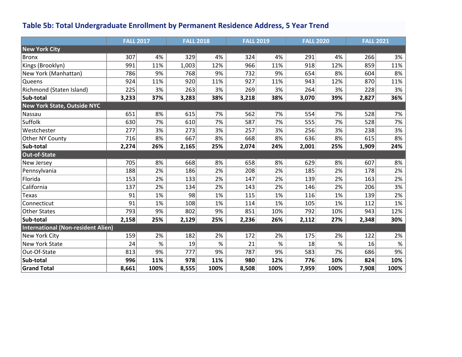### **Table 5b: Total Undergraduate Enrollment by Permanent Residence Address, 5 Year Trend**

|                                           | <b>FALL 2017</b> |      | <b>FALL 2018</b> |      | <b>FALL 2019</b> |      | <b>FALL 2020</b> |      | <b>FALL 2021</b> |      |
|-------------------------------------------|------------------|------|------------------|------|------------------|------|------------------|------|------------------|------|
| New York City                             |                  |      |                  |      |                  |      |                  |      |                  |      |
| <b>Bronx</b>                              | 307              | 4%   | 329              | 4%   | 324              | 4%   | 291              | 4%   | 266              | 3%   |
| Kings (Brooklyn)                          | 991              | 11%  | 1,003            | 12%  | 966              | 11%  | 918              | 12%  | 859              | 11%  |
| New York (Manhattan)                      | 786              | 9%   | 768              | 9%   | 732              | 9%   | 654              | 8%   | 604              | 8%   |
| Queens                                    | 924              | 11%  | 920              | 11%  | 927              | 11%  | 943              | 12%  | 870              | 11%  |
| Richmond (Staten Island)                  | 225              | 3%   | 263              | 3%   | 269              | 3%   | 264              | 3%   | 228              | 3%   |
| Sub-total                                 | 3,233            | 37%  | 3,283            | 38%  | 3,218            | 38%  | 3,070            | 39%  | 2,827            | 36%  |
| <b>New York State, Outside NYC</b>        |                  |      |                  |      |                  |      |                  |      |                  |      |
| Nassau                                    | 651              | 8%   | 615              | 7%   | 562              | 7%   | 554              | 7%   | 528              | 7%   |
| Suffolk                                   | 630              | 7%   | 610              | 7%   | 587              | 7%   | 555              | 7%   | 528              | 7%   |
| Westchester                               | 277              | 3%   | 273              | 3%   | 257              | 3%   | 256              | 3%   | 238              | 3%   |
| Other NY County                           | 716              | 8%   | 667              | 8%   | 668              | 8%   | 636              | 8%   | 615              | 8%   |
| Sub-total                                 | 2,274            | 26%  | 2,165            | 25%  | 2,074            | 24%  | 2,001            | 25%  | 1,909            | 24%  |
| Out-of-State                              |                  |      |                  |      |                  |      |                  |      |                  |      |
| New Jersey                                | 705              | 8%   | 668              | 8%   | 658              | 8%   | 629              | 8%   | 607              | 8%   |
| Pennsylvania                              | 188              | 2%   | 186              | 2%   | 208              | 2%   | 185              | 2%   | 178              | 2%   |
| Florida                                   | 153              | 2%   | 133              | 2%   | 147              | 2%   | 139              | 2%   | 163              | 2%   |
| California                                | 137              | 2%   | 134              | 2%   | 143              | 2%   | 146              | 2%   | 206              | 3%   |
| Texas                                     | 91               | 1%   | 98               | 1%   | 115              | 1%   | 116              | 1%   | 139              | 2%   |
| Connecticut                               | 91               | 1%   | 108              | 1%   | 114              | 1%   | 105              | 1%   | 112              | 1%   |
| <b>Other States</b>                       | 793              | 9%   | 802              | 9%   | 851              | 10%  | 792              | 10%  | 943              | 12%  |
| Sub-total                                 | 2,158            | 25%  | 2,129            | 25%  | 2,236            | 26%  | 2,112            | 27%  | 2,348            | 30%  |
| <b>International (Non-resident Alien)</b> |                  |      |                  |      |                  |      |                  |      |                  |      |
| New York City                             | 159              | 2%   | 182              | 2%   | 172              | 2%   | 175              | 2%   | 122              | 2%   |
| <b>New York State</b>                     | 24               | $\%$ | 19               | $\%$ | 21               | $\%$ | 18               | %    | 16               | $\%$ |
| Out-Of-State                              | 813              | 9%   | 777              | 9%   | 787              | 9%   | 583              | 7%   | 686              | 9%   |
| Sub-total                                 | 996              | 11%  | 978              | 11%  | 980              | 12%  | 776              | 10%  | 824              | 10%  |
| <b>Grand Total</b>                        | 8,661            | 100% | 8,555            | 100% | 8,508            | 100% | 7,959            | 100% | 7,908            | 100% |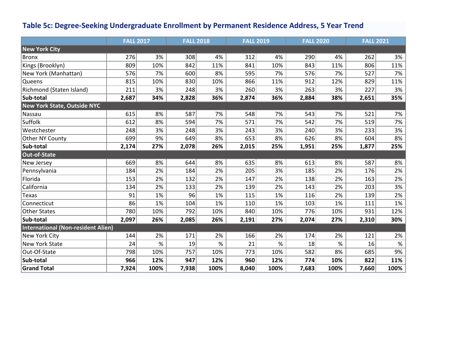### **Table 5c: Degree-Seeking Undergraduate Enrollment by Permanent Residence Address, 5 Year Trend**

|                                    | <b>FALL 2017</b> |      | <b>FALL 2018</b> |      | <b>FALL 2019</b> |      | <b>FALL 2020</b> |      | <b>FALL 2021</b> |      |
|------------------------------------|------------------|------|------------------|------|------------------|------|------------------|------|------------------|------|
| <b>New York City</b>               |                  |      |                  |      |                  |      |                  |      |                  |      |
| Bronx                              | 276              | 3%   | 308              | 4%   | 312              | 4%   | 290              | 4%   | 262              | 3%   |
| Kings (Brooklyn)                   | 809              | 10%  | 842              | 11%  | 841              | 10%  | 843              | 11%  | 806              | 11%  |
| New York (Manhattan)               | 576              | 7%   | 600              | 8%   | 595              | 7%   | 576              | 7%   | 527              | 7%   |
| Queens                             | 815              | 10%  | 830              | 10%  | 866              | 11%  | 912              | 12%  | 829              | 11%  |
| Richmond (Staten Island)           | 211              | 3%   | 248              | 3%   | 260              | 3%   | 263              | 3%   | 227              | 3%   |
| Sub-total                          | 2,687            | 34%  | 2,828            | 36%  | 2,874            | 36%  | 2,884            | 38%  | 2,651            | 35%  |
| <b>New York State, Outside NYC</b> |                  |      |                  |      |                  |      |                  |      |                  |      |
| Nassau                             | 615              | 8%   | 587              | 7%   | 548              | 7%   | 543              | 7%   | 521              | 7%   |
| Suffolk                            | 612              | 8%   | 594              | 7%   | 571              | 7%   | 542              | 7%   | 519              | 7%   |
| Westchester                        | 248              | 3%   | 248              | 3%   | 243              | 3%   | 240              | 3%   | 233              | 3%   |
| Other NY County                    | 699              | 9%   | 649              | 8%   | 653              | 8%   | 626              | 8%   | 604              | 8%   |
| Sub-total                          | 2,174            | 27%  | 2,078            | 26%  | 2,015            | 25%  | 1,951            | 25%  | 1,877            | 25%  |
| Out-of-State                       |                  |      |                  |      |                  |      |                  |      |                  |      |
| New Jersey                         | 669              | 8%   | 644              | 8%   | 635              | 8%   | 613              | 8%   | 587              | 8%   |
| Pennsylvania                       | 184              | 2%   | 184              | 2%   | 205              | 3%   | 185              | 2%   | 176              | 2%   |
| Florida                            | 153              | 2%   | 132              | 2%   | 147              | 2%   | 138              | 2%   | 163              | 2%   |
| California                         | 134              | 2%   | 133              | 2%   | 139              | 2%   | 143              | 2%   | 203              | 3%   |
| Texas                              | 91               | 1%   | 96               | 1%   | 115              | 1%   | 116              | 2%   | 139              | 2%   |
| Connecticut                        | 86               | 1%   | 104              | 1%   | 110              | 1%   | 103              | 1%   | 111              | 1%   |
| <b>Other States</b>                | 780              | 10%  | 792              | 10%  | 840              | 10%  | 776              | 10%  | 931              | 12%  |
| Sub-total                          | 2,097            | 26%  | 2,085            | 26%  | 2,191            | 27%  | 2,074            | 27%  | 2,310            | 30%  |
| International (Non-resident Alien) |                  |      |                  |      |                  |      |                  |      |                  |      |
| New York City                      | 144              | 2%   | 171              | 2%   | 166              | 2%   | 174              | 2%   | 121              | 2%   |
| <b>New York State</b>              | 24               | $\%$ | 19               | $\%$ | 21               | $\%$ | 18               | %    | 16               | $\%$ |
| Out-Of-State                       | 798              | 10%  | 757              | 10%  | 773              | 10%  | 582              | 8%   | 685              | 9%   |
| Sub-total                          | 966              | 12%  | 947              | 12%  | 960              | 12%  | 774              | 10%  | 822              | 11%  |
| <b>Grand Total</b>                 | 7,924            | 100% | 7,938            | 100% | 8,040            | 100% | 7,683            | 100% | 7,660            | 100% |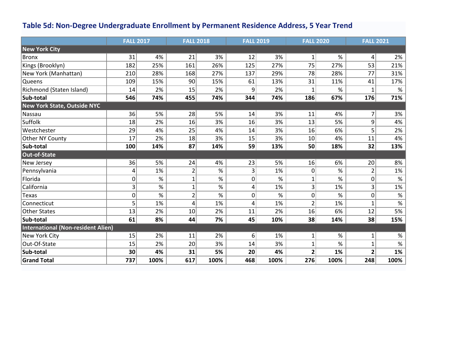### **Table 5d: Non-Degree Undergraduate Enrollment by Permanent Residence Address, 5 Year Trend**

|                                    | <b>FALL 2017</b> |      | <b>FALL 2018</b> |      | <b>FALL 2019</b> |      | <b>FALL 2020</b> |      | <b>FALL 2021</b> |       |
|------------------------------------|------------------|------|------------------|------|------------------|------|------------------|------|------------------|-------|
| <b>New York City</b>               |                  |      |                  |      |                  |      |                  |      |                  |       |
| Bronx                              | 31               | 4%   | 21               | 3%   | 12               | 3%   | 1                | %    | 4                | 2%    |
| Kings (Brooklyn)                   | 182              | 25%  | 161              | 26%  | 125              | 27%  | 75               | 27%  | 53               | 21%   |
| New York (Manhattan)               | 210              | 28%  | 168              | 27%  | 137              | 29%  | 78               | 28%  | 77               | 31%   |
| Queens                             | 109              | 15%  | 90               | 15%  | 61               | 13%  | 31               | 11%  | 41               | 17%   |
| Richmond (Staten Island)           | 14               | 2%   | 15               | 2%   | 9                | 2%   | 1                | %    | 1                | %     |
| Sub-total                          | 546              | 74%  | 455              | 74%  | 344              | 74%  | 186              | 67%  | 176              | 71%   |
| <b>New York State, Outside NYC</b> |                  |      |                  |      |                  |      |                  |      |                  |       |
| Nassau                             | 36               | 5%   | 28               | 5%   | 14               | 3%   | 11               | 4%   | $\overline{7}$   | 3%    |
| Suffolk                            | 18               | 2%   | 16               | 3%   | 16               | 3%   | 13               | 5%   | 9                | 4%    |
| Westchester                        | 29               | 4%   | 25               | 4%   | 14               | 3%   | 16               | 6%   | 5                | 2%    |
| Other NY County                    | 17               | 2%   | 18               | 3%   | 15               | 3%   | 10               | 4%   | 11               | 4%    |
| Sub-total                          | 100              | 14%  | 87               | 14%  | 59               | 13%  | 50               | 18%  | 32               | 13%   |
| Out-of-State                       |                  |      |                  |      |                  |      |                  |      |                  |       |
| New Jersey                         | 36               | 5%   | 24               | 4%   | 23               | 5%   | 16               | 6%   | 20               | 8%    |
| Pennsylvania                       | 4                | 1%   | $\overline{2}$   | $\%$ | 3                | 1%   | $\overline{0}$   | %    | $\overline{2}$   | 1%    |
| Florida                            | 0                | $\%$ | 1                | $\%$ | 0                | $\%$ | 1                | %    | 0                | $\%$  |
| California                         | 3                | $\%$ | $\mathbf 1$      | $\%$ | 4                | 1%   | 3                | 1%   | 3                | $1\%$ |
| Texas                              | 0                | $\%$ | $\overline{2}$   | $\%$ | 0                | $\%$ | $\overline{0}$   | $\%$ | 0                | $\%$  |
| Connecticut                        | 5                | 1%   | 4                | 1%   | 4                | 1%   | $\overline{2}$   | 1%   | $\mathbf{1}$     | $\%$  |
| <b>Other States</b>                | 13               | 2%   | 10               | 2%   | 11               | 2%   | 16               | 6%   | 12               | 5%    |
| Sub-total                          | 61               | 8%   | 44               | 7%   | 45               | 10%  | 38               | 14%  | 38               | 15%   |
| International (Non-resident Alien) |                  |      |                  |      |                  |      |                  |      |                  |       |
| New York City                      | 15               | 2%   | 11               | 2%   | 6                | 1%   | 1                | $\%$ | 1                | $\%$  |
| Out-Of-State                       | 15               | 2%   | 20               | 3%   | 14               | 3%   | $\mathbf{1}$     | $\%$ | $\mathbf{1}$     | $\%$  |
| Sub-total                          | 30               | 4%   | 31               | 5%   | 20               | 4%   | 2                | 1%   | 2                | 1%    |
| <b>Grand Total</b>                 | 737              | 100% | 617              | 100% | 468              | 100% | 276              | 100% | 248              | 100%  |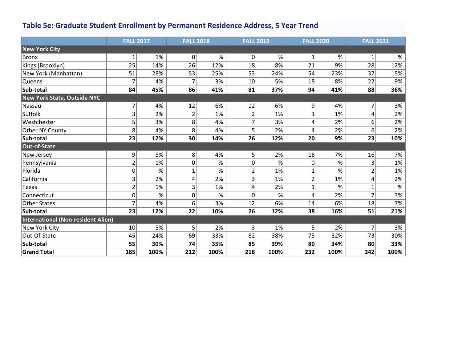### **Table 5e: Graduate Student Enrollment by Permanent Residence Address, 5 Year Trend**

|                                           | <b>FALL 2017</b> |      | <b>FALL 2018</b> |      | <b>FALL 2019</b> |      | <b>FALL 2020</b> |      | <b>FALL 2021</b> |      |
|-------------------------------------------|------------------|------|------------------|------|------------------|------|------------------|------|------------------|------|
| <b>New York City</b>                      |                  |      |                  |      |                  |      |                  |      |                  |      |
| <b>Bronx</b>                              | 1                | 1%   | $\pmb{0}$        | %    | 0                | $\%$ | $\mathbf{1}$     | $\%$ | $\mathbf{1}$     | $\%$ |
| Kings (Brooklyn)                          | 25               | 14%  | 26               | 12%  | 18               | 8%   | 21               | 9%   | 28               | 12%  |
| New York (Manhattan)                      | 51               | 28%  | 53               | 25%  | 53               | 24%  | 54               | 23%  | 37               | 15%  |
| Queens                                    |                  | 4%   |                  | 3%   | 10               | 5%   | 18               | 8%   | 22               | 9%   |
| Sub-total                                 | 84               | 45%  | 86               | 41%  | 81               | 37%  | 94               | 41%  | 88               | 36%  |
| <b>New York State, Outside NYC</b>        |                  |      |                  |      |                  |      |                  |      |                  |      |
| Nassau                                    | $\overline{7}$   | 4%   | 12               | 6%   | 12               | 6%   | 9                | 4%   | 7                | 3%   |
| Suffolk                                   | 3                | 2%   | $\overline{2}$   | 1%   | 2                | 1%   | 3                | 1%   | 4                | 2%   |
| Westchester                               | 5                | 3%   | 8                | 4%   | $\overline{7}$   | 3%   | 4                | 2%   | 6                | 2%   |
| Other NY County                           | 8                | 4%   | 8                | 4%   | 5                | 2%   | 4                | 2%   | 6                | 2%   |
| Sub-total                                 | 23               | 12%  | 30               | 14%  | 26               | 12%  | 20               | 9%   | 23               | 10%  |
| <b>Out-of-State</b>                       |                  |      |                  |      |                  |      |                  |      |                  |      |
| New Jersey                                | $\overline{9}$   | 5%   | 8                | 4%   | 5                | 2%   | 16               | 7%   | 16               | 7%   |
| Pennsylvania                              | $\overline{2}$   | 1%   | 0                | $\%$ | 0                | $\%$ | 0                | $\%$ | 3 <sup>2</sup>   | 1%   |
| Florida                                   | 0                | %    | $\overline{1}$   | %    | $\overline{2}$   | 1%   | 1                | %    | $\overline{2}$   | 1%   |
| California                                | 3                | 2%   | 4                | 2%   | 3                | 1%   | $\overline{2}$   | 1%   | 4                | 2%   |
| Texas                                     | $\overline{2}$   | 1%   | 3                | 1%   | 4                | 2%   | $\mathbf{1}$     | %    | $\mathbf{1}$     | $\%$ |
| Connecticut                               | 0                | $\%$ | 0                | $\%$ | 0                | $\%$ | 4                | 2%   | $\overline{7}$   | 3%   |
| <b>Other States</b>                       | 7                | 4%   | 6                | 3%   | 12               | 6%   | 14               | 6%   | 18               | 7%   |
| Sub-total                                 | 23               | 12%  | 22               | 10%  | 26               | 12%  | 38               | 16%  | 51               | 21%  |
| <b>International (Non-resident Alien)</b> |                  |      |                  |      |                  |      |                  |      |                  |      |
| New York City                             | 10               | 5%   | 5                | 2%   | $\mathsf{3}$     | 1%   | 5                | 2%   | $\overline{7}$   | 3%   |
| Out-Of-State                              | 45               | 24%  | 69               | 33%  | 82               | 38%  | 75               | 32%  | 73               | 30%  |
| Sub-total                                 | 55               | 30%  | 74               | 35%  | 85               | 39%  | 80               | 34%  | 80               | 33%  |
| <b>Grand Total</b>                        | 185              | 100% | 212              | 100% | 218              | 100% | 232              | 100% | 242              | 100% |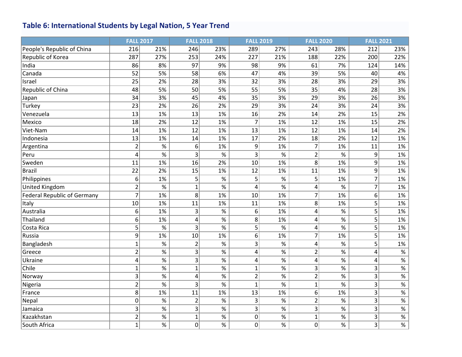### **Table 6: International Students by Legal Nation, 5 Year Trend**

|                                    | <b>FALL 2017</b> |                 | <b>FALL 2018</b> |      |                | <b>FALL 2019</b> | <b>FALL 2020</b> |      | <b>FALL 2021</b>        |                  |
|------------------------------------|------------------|-----------------|------------------|------|----------------|------------------|------------------|------|-------------------------|------------------|
| People's Republic of China         | 216              | 21%             | 246              | 23%  | 289            | 27%              | 243              | 28%  | 212                     | 23%              |
| Republic of Korea                  | 287              | 27%             | 253              | 24%  | 227            | 21%              | 188              | 22%  | 200                     | 22%              |
| India                              | 86               | 8%              | 97               | 9%   | 98             | 9%               | 61               | 7%   | 124                     | 14%              |
| Canada                             | 52               | 5%              | 58               | 6%   | 47             | 4%               | 39               | 5%   | 40                      | 4%               |
| Israel                             | 25               | 2%              | 28               | 3%   | 32             | 3%               | 28               | 3%   | 29                      | 3%               |
| Republic of China                  | 48               | 5%              | 50               | 5%   | 55             | 5%               | 35               | 4%   | 28                      | 3%               |
| Japan                              | 34               | 3%              | 45               | 4%   | 35             | 3%               | 29               | 3%   | 26                      | 3%               |
| Turkey                             | 23               | 2%              | 26               | 2%   | 29             | 3%               | 24               | 3%   | 24                      | 3%               |
| Venezuela                          | 13               | 1%              | 13               | 1%   | 16             | 2%               | 14               | 2%   | 15                      | 2%               |
| Mexico                             | 18               | 2%              | 12               | 1%   | 7              | 1%               | 12               | 1%   | 15                      | 2%               |
| Viet-Nam                           | 14               | 1%              | 12               | 1%   | 13             | 1%               | 12               | 1%   | 14                      | 2%               |
| Indonesia                          | 13               | 1%              | 14               | 1%   | 17             | 2%               | 18               | 2%   | 12                      | 1%               |
| Argentina                          | $\overline{2}$   | $\%$            | 6                | 1%   | 9              | 1%               | $\overline{7}$   | 1%   | 11                      | 1%               |
| Peru                               | 4                | $\overline{\%}$ | 3                | %    | 3              | $\%$             | $\overline{2}$   | %    | 9                       | 1%               |
| Sweden                             | 11               | 1%              | 16               | 2%   | 10             | 1%               | 8                | 1%   | 9                       | 1%               |
| <b>Brazil</b>                      | 22               | 2%              | 15               | 1%   | 12             | 1%               | 11               | 1%   | 9                       | 1%               |
| Philippines                        | 6                | 1%              | 5                | $\%$ | 5              | $\%$             | 5                | 1%   | $\overline{7}$          | 1%               |
| United Kingdom                     | $\overline{2}$   | $\%$            | $\mathbf{1}$     | $\%$ | 4              | $\%$             | 4                | $\%$ | $\overline{7}$          | 1%               |
| <b>Federal Republic of Germany</b> | $\overline{7}$   | 1%              | 8                | 1%   | 10             | 1%               | $\overline{7}$   | 1%   | 6                       | 1%               |
| Italy                              | 10               | 1%              | 11               | 1%   | 11             | 1%               | 8                | 1%   | $\overline{5}$          | 1%               |
| Australia                          | 6                | 1%              | 3                | %    | 6              | 1%               | 4                | $\%$ | 5                       | 1%               |
| Thailand                           | 6                | 1%              | 4                | $\%$ | 8              | 1%               | 4                | $\%$ | 5                       | 1%               |
| Costa Rica                         | 5                | %               | 3                | %    | 5              | $\%$             | 4                | %    | 5                       | 1%               |
| Russia                             | 9                | 1%              | 10               | 1%   | 6              | 1%               | $\overline{7}$   | 1%   | $\overline{5}$          | 1%               |
| Bangladesh                         | $\mathbf{1}$     | $\%$            | 2                | $\%$ | 3              | $\%$             | 4                | $\%$ | $\overline{5}$          | 1%               |
| Greece                             | $\overline{2}$   | $\overline{\%}$ | 3                | $\%$ | 4              | %                | $\overline{2}$   | %    | $\overline{\mathbf{r}}$ | $\%$             |
| Ukraine                            | 4                | $\%$            | 3                | $\%$ | 4              | $\%$             | 4                | $\%$ | $\overline{\mathbf{r}}$ | $\frac{9}{6}$    |
| Chile                              | $\mathbf{1}$     | $\%$            | 1                | $\%$ | $\mathbf{1}$   | %                | 3                | $\%$ | $\overline{3}$          | $% \overline{a}$ |
| Norway                             | 3                | $\%$            | 4                | $\%$ | $\overline{2}$ | $\%$             | $\overline{2}$   | $\%$ | $\overline{3}$          | $\%$             |
| Nigeria                            | $\overline{2}$   | $\%$            | 3                | $\%$ | $\mathbf{1}$   | $\%$             | $\mathbf{1}$     | $\%$ | 3                       | $\%$             |
| France                             | 8                | 1%              | 11               | 1%   | 13             | 1%               | 6                | 1%   | $\overline{\mathbf{3}}$ | $\%$             |
| Nepal                              | $\overline{0}$   | $\%$            | $\overline{2}$   | $\%$ | 3              | $\%$             | $\overline{2}$   | $\%$ | $\overline{\mathbf{3}}$ | $\%$             |
| Jamaica                            | 3                | $\%$            | 3                | $\%$ | $\vert$ 3      | $\%$             | 3                | $\%$ | 3                       | $\%$             |
| Kazakhstan                         | $\overline{c}$   | $\%$            | $\mathbf{1}$     | $\%$ | $\overline{0}$ | $\%$             | $\mathbf{1}$     | $\%$ | 3                       | $\%$             |
| South Africa                       | $\mathbf{1}$     | $\%$            | 0                | $\%$ | $\overline{0}$ | $\%$             | 0                | %    | $\overline{3}$          | $\%$             |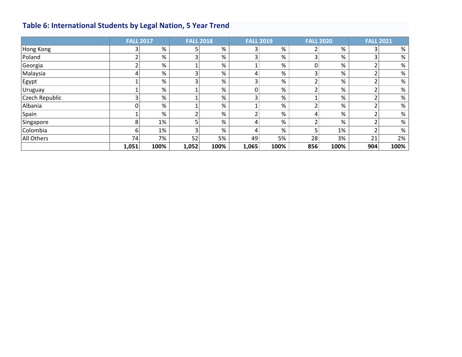# **Table 6: International Students by Legal Nation, 5 Year Trend**

|                | <b>FALL 2017</b> |      | <b>FALL 2018</b> |      | <b>FALL 2019</b> |      | <b>FALL 2020</b> |      | <b>FALL 2021</b> |      |
|----------------|------------------|------|------------------|------|------------------|------|------------------|------|------------------|------|
| Hong Kong      | 3                | %    |                  | %    |                  | %    |                  | %    |                  | %    |
| Poland         | ∽                | %    |                  | %    |                  | %    |                  | %    |                  | $\%$ |
| Georgia        |                  | %    |                  | %    |                  | %    |                  | %    |                  | $\%$ |
| Malaysia       |                  | %    |                  | %    |                  | %    |                  | %    |                  | $\%$ |
| Egypt          |                  | %    |                  | %    |                  | $\%$ |                  | %    |                  | %    |
| <b>Uruguay</b> |                  | %    |                  | %    |                  | %    |                  | %    |                  | $\%$ |
| Czech Republic |                  | %    |                  | %    |                  | %    |                  | %    |                  | %    |
| Albania        |                  | %    |                  | %    |                  | %    |                  | %    |                  | %    |
| Spain          |                  | %    |                  | %    |                  | %    |                  | %    |                  | %    |
| Singapore      | 8                | 1%   |                  | %    |                  | %    |                  | %    |                  | %    |
| Colombia       | 6                | 1%   |                  | %    |                  | %    |                  | 1%   |                  | %    |
| All Others     | 74               | 7%   | 52               | 5%   | 49               | 5%   | 28               | 3%   | 21               | 2%   |
|                | 1,051            | 100% | 1,052            | 100% | 1,065            | 100% | 856              | 100% | 904              | 100% |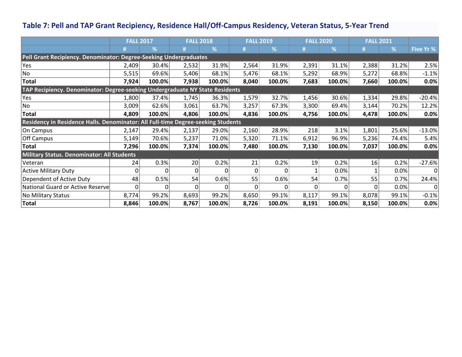### **Table 7: Pell and TAP Grant Recipiency, Residence Hall/Off-Campus Residency, Veteran Status, 5-Year Trend**

|                                                                                  | <b>FALL 2017</b> |        | <b>FALL 2018</b> |        | <b>FALL 2019</b> |              | <b>FALL 2020</b> |        | <b>FALL 2021</b> |        |           |
|----------------------------------------------------------------------------------|------------------|--------|------------------|--------|------------------|--------------|------------------|--------|------------------|--------|-----------|
|                                                                                  |                  | ℅      |                  | %      |                  | %            |                  | %      |                  | ℅      | Five Yr % |
| Pell Grant Recipiency. Denominator: Degree-Seeking Undergraduates                |                  |        |                  |        |                  |              |                  |        |                  |        |           |
| Yes                                                                              | 2,409            | 30.4%  | 2,532            | 31.9%  | 2,564            | 31.9%        | 2,391            | 31.1%  | 2,388            | 31.2%  | 2.5%      |
| No                                                                               | 5,515            | 69.6%  | 5,406            | 68.1%  | 5,476            | 68.1%        | 5,292            | 68.9%  | 5,272            | 68.8%  | $-1.1%$   |
| <b>Total</b>                                                                     | 7,924            | 100.0% | 7,938            | 100.0% | 8,040            | 100.0%       | 7,683            | 100.0% | 7,660            | 100.0% | 0.0%      |
| TAP Recipiency. Denominator: Degree-seeking Undergraduate NY State Residents     |                  |        |                  |        |                  |              |                  |        |                  |        |           |
| Yes                                                                              | 1,800            | 37.4%  | 1,745            | 36.3%  | 1,579            | 32.7%        | 1,456            | 30.6%  | 1,334            | 29.8%  | $-20.4%$  |
| No                                                                               | 3,009            | 62.6%  | 3,061            | 63.7%  | 3,257            | 67.3%        | 3,300            | 69.4%  | 3,144            | 70.2%  | 12.2%     |
| <b>Total</b>                                                                     | 4,809            | 100.0% | 4,806            | 100.0% | 4,836            | 100.0%       | 4,756            | 100.0% | 4,478            | 100.0% | 0.0%      |
| Residency in Residence Halls. Denominator: All Full-time Degree-seeking Students |                  |        |                  |        |                  |              |                  |        |                  |        |           |
| On Campus                                                                        | 2,147            | 29.4%  | 2,137            | 29.0%  | 2,160            | 28.9%        | 218              | 3.1%   | 1,801            | 25.6%  | $-13.0%$  |
| <b>Off Campus</b>                                                                | 5,149            | 70.6%  | 5,237            | 71.0%  | 5,320            | 71.1%        | 6,912            | 96.9%  | 5,236            | 74.4%  | 5.4%      |
| <b>Total</b>                                                                     | 7,296            | 100.0% | 7,374            | 100.0% | 7,480            | 100.0%       | 7,130            | 100.0% | 7,037            | 100.0% | 0.0%      |
| Military Status. Denominator: All Students                                       |                  |        |                  |        |                  |              |                  |        |                  |        |           |
| Veteran                                                                          | 24               | 0.3%   | 20 <sup>2</sup>  | 0.2%   | 21               | 0.2%         | 19               | 0.2%   | 16               | 0.2%   | $-27.6%$  |
| <b>Active Military Duty</b>                                                      | $\Omega$         | 0      | $\Omega$         |        | $\Omega$         | $\Omega$     |                  | 0.0%   |                  | 0.0%   | $\Omega$  |
| Dependent of Active Duty                                                         | 48               | 0.5%   | 54               | 0.6%   | 55               | 0.6%         | 54               | 0.7%   | 55               | 0.7%   | 24.4%     |
| National Guard or Active Reserve                                                 |                  | 0      | 0                |        | O                | <sup>0</sup> |                  | 0      | 0                | 0.0%   | 0         |
| No Military Status                                                               | 8,774            | 99.2%  | 8,693            | 99.2%  | 8,650            | 99.1%        | 8,117            | 99.1%  | 8,078            | 99.1%  | $-0.1%$   |
| Total                                                                            | 8,846            | 100.0% | 8,767            | 100.0% | 8,726            | 100.0%       | 8,191            | 100.0% | 8,150            | 100.0% | 0.0%      |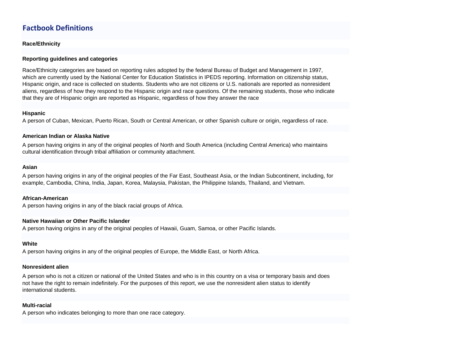### **Factbook Definitions**

#### **Race/Ethnicity**

#### **Reporting guidelines and categories**

Race/Ethnicity categories are based on reporting rules adopted by the federal Bureau of Budget and Management in 1997, which are currently used by the National Center for Education Statistics in IPEDS reporting. Information on citizenship status, Hispanic origin, and race is collected on students. Students who are not citizens or U.S. nationals are reported as nonresident aliens, regardless of how they respond to the Hispanic origin and race questions. Of the remaining students, those who indicate that they are of Hispanic origin are reported as Hispanic, regardless of how they answer the race

#### **Hispanic**

A person of Cuban, Mexican, Puerto Rican, South or Central American, or other Spanish culture or origin, regardless of race.

#### **American Indian or Alaska Native**

A person having origins in any of the original peoples of North and South America (including Central America) who maintains cultural identification through tribal affiliation or community attachment.

#### **Asian**

A person having origins in any of the original peoples of the Far East, Southeast Asia, or the Indian Subcontinent, including, for example, Cambodia, China, India, Japan, Korea, Malaysia, Pakistan, the Philippine Islands, Thailand, and Vietnam.

#### **African-American**

A person having origins in any of the black racial groups of Africa.

#### **Native Hawaiian or Other Pacific Islander**

A person having origins in any of the original peoples of Hawaii, Guam, Samoa, or other Pacific Islands.

#### **White**

A person having origins in any of the original peoples of Europe, the Middle East, or North Africa.

#### **Nonresident alien**

A person who is not a citizen or national of the United States and who is in this country on a visa or temporary basis and does not have the right to remain indefinitely. For the purposes of this report, we use the nonresident alien status to identify international students.

#### **Multi-racial**

A person who indicates belonging to more than one race category.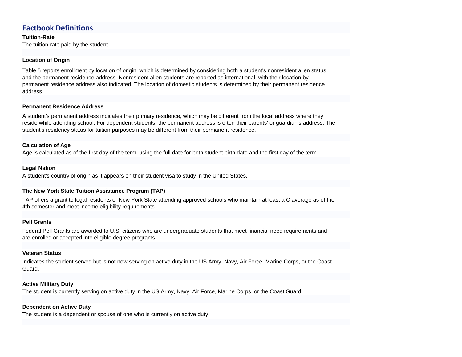### **Factbook Definitions**

**Tuition-Rate**

The tuition-rate paid by the student.

#### **Location of Origin**

Table 5 reports enrollment by location of origin, which is determined by considering both a student's nonresident alien status and the permanent residence address. Nonresident alien students are reported as international, with their location by permanent residence address also indicated. The location of domestic students is determined by their permanent residence address.

#### **Permanent Residence Address**

A student's permanent address indicates their primary residence, which may be different from the local address where they reside while attending school. For dependent students, the permanent address is often their parents' or guardian's address. The student's residency status for tuition purposes may be different from their permanent residence.

#### **Calculation of Age**

Age is calculated as of the first day of the term, using the full date for both student birth date and the first day of the term.

#### **Legal Nation**

A student's country of origin as it appears on their student visa to study in the United States.

#### **The New York State Tuition Assistance Program (TAP)**

TAP offers a grant to legal residents of New York State attending approved schools who maintain at least a C average as of the 4th semester and meet income eligibility requirements.

#### **Pell Grants**

Federal Pell Grants are awarded to U.S. citizens who are undergraduate students that meet financial need requirements and are enrolled or accepted into eligible degree programs.

#### **Veteran Status**

Indicates the student served but is not now serving on active duty in the US Army, Navy, Air Force, Marine Corps, or the Coast Guard.

#### **Active Military Duty**

The student is currently serving on active duty in the US Army, Navy, Air Force, Marine Corps, or the Coast Guard.

#### **Dependent on Active Duty**

The student is a dependent or spouse of one who is currently on active duty.